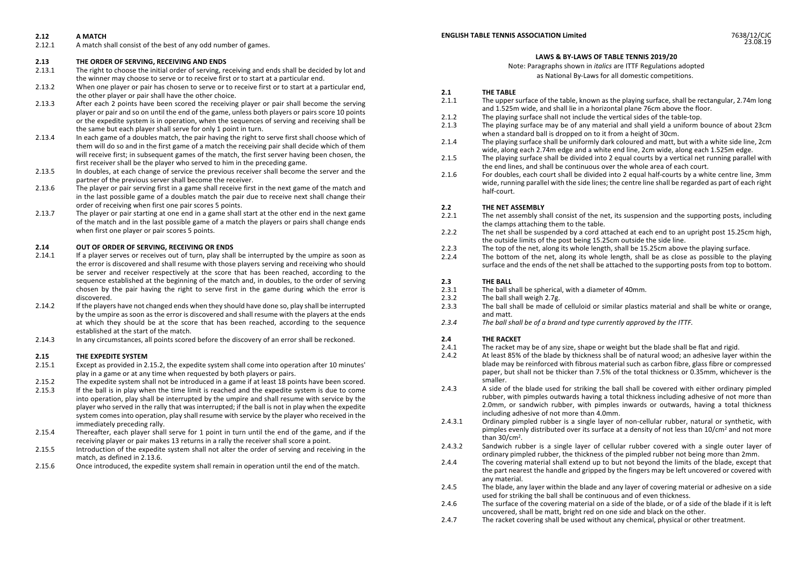### **2.12 A MATCH**

2.12.1 A match shall consist of the best of any odd number of games.

#### **2.13 THE ORDER OF SERVING, RECEIVING AND ENDS**

- 2.13.1 The right to choose the initial order of serving, receiving and ends shall be decided by lot and the winner may choose to serve or to receive first or to start at a particular end.
- 2.13.2 When one player or pair has chosen to serve or to receive first or to start at a particular end, the other player or pair shall have the other choice.
- 2.13.3 After each 2 points have been scored the receiving player or pair shall become the serving player or pair and so on until the end of the game, unless both players or pairs score 10 points or the expedite system is in operation, when the sequences of serving and receiving shall be the same but each player shall serve for only 1 point in turn.
- 2.13.4 In each game of a doubles match, the pair having the right to serve first shall choose which of them will do so and in the first game of a match the receiving pair shall decide which of them will receive first; in subsequent games of the match, the first server having been chosen, the first receiver shall be the player who served to him in the preceding game.
- 2.13.5 In doubles, at each change of service the previous receiver shall become the server and the partner of the previous server shall become the receiver.
- 2.13.6 The player or pair serving first in a game shall receive first in the next game of the match and in the last possible game of a doubles match the pair due to receive next shall change their order of receiving when first one pair scores 5 points.
- 2.13.7 The player or pair starting at one end in a game shall start at the other end in the next game of the match and in the last possible game of a match the players or pairs shall change ends when first one player or pair scores 5 points.

# **2.14 OUT OF ORDER OF SERVING, RECEIVING OR ENDS**

- If a player serves or receives out of turn, play shall be interrupted by the umpire as soon as the error is discovered and shall resume with those players serving and receiving who should be server and receiver respectively at the score that has been reached, according to the sequence established at the beginning of the match and, in doubles, to the order of serving chosen by the pair having the right to serve first in the game during which the error is discovered.
- 2.14.2 If the players have not changed ends when they should have done so, play shall be interrupted by the umpire as soon as the error is discovered and shall resume with the players at the ends at which they should be at the score that has been reached, according to the sequence established at the start of the match.
- 2.14.3 In any circumstances, all points scored before the discovery of an error shall be reckoned.

### **2.15 THE EXPEDITE SYSTEM**

- 2.15.1 Except as provided in 2.15.2, the expedite system shall come into operation after 10 minutes' play in a game or at any time when requested by both players or pairs.
- 2.15.2 The expedite system shall not be introduced in a game if at least 18 points have been scored.
- 2.15.3 If the ball is in play when the time limit is reached and the expedite system is due to come into operation, play shall be interrupted by the umpire and shall resume with service by the player who served in the rally that was interrupted; if the ball is not in play when the expedite system comes into operation, play shall resume with service by the player who received in the immediately preceding rally.
- 2.15.4 Thereafter, each player shall serve for 1 point in turn until the end of the game, and if the receiving player or pair makes 13 returns in a rally the receiver shall score a point.
- 2.15.5 Introduction of the expedite system shall not alter the order of serving and receiving in the match, as defined in 2.13.6.
- 2.15.6 Once introduced, the expedite system shall remain in operation until the end of the match.



## **LAWS & BY-LAWS OF TABLE TENNIS 2019/20**

Note: Paragraphs shown in *italics* are ITTF Regulations adopted as National By-Laws for all domestic competitions.

## **2.1 THE TABLE**

- 2.1.1 The upper surface of the table, known as the playing surface, shall be rectangular, 2.74m long and 1.525m wide, and shall lie in a horizontal plane 76cm above the floor.
- 2.1.2 The playing surface shall not include the vertical sides of the table-top.<br>2.1.3 The playing surface may be of any material and shall yield a uniform b
- The playing surface may be of any material and shall yield a uniform bounce of about 23cm when a standard ball is dropped on to it from a height of 30cm.
- 2.1.4 The playing surface shall be uniformly dark coloured and matt, but with a white side line, 2cm wide, along each 2.74m edge and a white end line, 2cm wide, along each 1.525m edge.
- 2.1.5 The playing surface shall be divided into 2 equal courts by a vertical net running parallel with the end lines, and shall be continuous over the whole area of each court.
- 2.1.6 For doubles, each court shall be divided into 2 equal half-courts by a white centre line, 3mm wide, running parallel with the side lines; the centre line shall be regarded as part of each right half-court.

# **2.2 THE NET ASSEMBLY**<br>2.2.1 **The net assembly sh**

- The net assembly shall consist of the net, its suspension and the supporting posts, including the clamps attaching them to the table.
- 2.2.2 The net shall be suspended by a cord attached at each end to an upright post 15.25cm high, the outside limits of the post being 15.25cm outside the side line.
- 2.2.3 The top of the net, along its whole length, shall be 15.25cm above the playing surface.<br>2.2.4 The bottom of the net, along its whole length, shall be as close as possible to the n
- The bottom of the net, along its whole length, shall be as close as possible to the playing surface and the ends of the net shall be attached to the supporting posts from top to bottom.

# **2.3 THE BALL**<br>2.3.1 **The ball sh**

- The ball shall be spherical, with a diameter of 40mm.
- 2.3.2 The ball shall weigh 2.7g.
- 2.3.3 The ball shall be made of celluloid or similar plastics material and shall be white or orange, and matt.
- *2.3.4 The ball shall be of a brand and type currently approved by the ITTF.*

# **2.4 THE RACKET**<br>2.4.1 **The racket m**

- 2.4.1 The racket may be of any size, shape or weight but the blade shall be flat and rigid.<br>2.4.2 At least 85% of the blade by thickness shall be of natural wood: an adhesive layer v
- At least 85% of the blade by thickness shall be of natural wood; an adhesive layer within the blade may be reinforced with fibrous material such as carbon fibre, glass fibre or compressed paper, but shall not be thicker than 7.5% of the total thickness or 0.35mm, whichever is the smaller.
- 2.4.3 A side of the blade used for striking the ball shall be covered with either ordinary pimpled rubber, with pimples outwards having a total thickness including adhesive of not more than 2.0mm, or sandwich rubber, with pimples inwards or outwards, having a total thickness including adhesive of not more than 4.0mm.
- 2.4.3.1 Ordinary pimpled rubber is a single layer of non-cellular rubber, natural or synthetic, with pimples evenly distributed over its surface at a density of not less than  $10/cm<sup>2</sup>$  and not more than  $30/cm<sup>2</sup>$ .
- 2.4.3.2 Sandwich rubber is a single layer of cellular rubber covered with a single outer layer of ordinary pimpled rubber, the thickness of the pimpled rubber not being more than 2mm.
- 2.4.4 The covering material shall extend up to but not beyond the limits of the blade, except that the part nearest the handle and gripped by the fingers may be left uncovered or covered with any material.
- 2.4.5 The blade, any layer within the blade and any layer of covering material or adhesive on a side used for striking the ball shall be continuous and of even thickness.
- 2.4.6 The surface of the covering material on a side of the blade, or of a side of the blade if it is left uncovered, shall be matt, bright red on one side and black on the other.
- 2.4.7 The racket covering shall be used without any chemical, physical or other treatment.